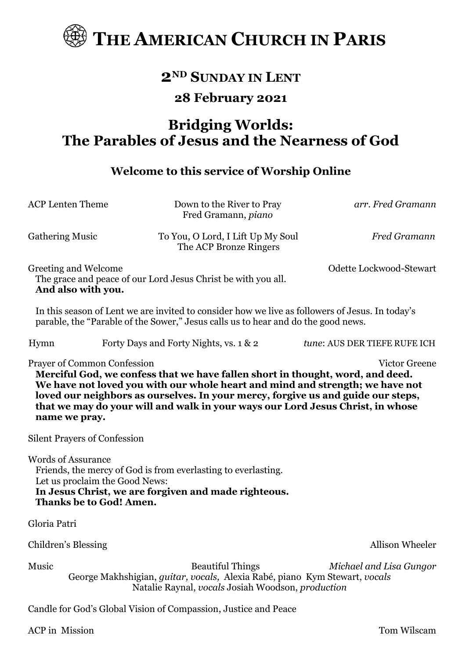

## **2ND SUNDAY IN LENT**

#### **28 February 2021**

# **Bridging Worlds: The Parables of Jesus and the Nearness of God**

#### **Welcome to this service of Worship Online**

| <b>ACP</b> Lenten Theme                                                                                                                                                                                                                                                                                                                                                                                                                                     | Down to the River to Pray<br>Fred Gramann, piano                                                                                                           | arr. Fred Gramann            |  |  |
|-------------------------------------------------------------------------------------------------------------------------------------------------------------------------------------------------------------------------------------------------------------------------------------------------------------------------------------------------------------------------------------------------------------------------------------------------------------|------------------------------------------------------------------------------------------------------------------------------------------------------------|------------------------------|--|--|
| <b>Gathering Music</b>                                                                                                                                                                                                                                                                                                                                                                                                                                      | To You, O Lord, I Lift Up My Soul<br>The ACP Bronze Ringers                                                                                                | <b>Fred Gramann</b>          |  |  |
| Greeting and Welcome<br>And also with you.                                                                                                                                                                                                                                                                                                                                                                                                                  | The grace and peace of our Lord Jesus Christ be with you all.                                                                                              | Odette Lockwood-Stewart      |  |  |
| In this season of Lent we are invited to consider how we live as followers of Jesus. In today's<br>parable, the "Parable of the Sower," Jesus calls us to hear and do the good news.                                                                                                                                                                                                                                                                        |                                                                                                                                                            |                              |  |  |
| Hymn                                                                                                                                                                                                                                                                                                                                                                                                                                                        | Forty Days and Forty Nights, vs. 1 & 2                                                                                                                     | tune: AUS DER TIEFE RUFE ICH |  |  |
| <b>Prayer of Common Confession</b><br><b>Victor Greene</b><br>Merciful God, we confess that we have fallen short in thought, word, and deed.<br>We have not loved you with our whole heart and mind and strength; we have not<br>loved our neighbors as ourselves. In your mercy, forgive us and guide our steps,<br>that we may do your will and walk in your ways our Lord Jesus Christ, in whose<br>name we pray.<br><b>Silent Prayers of Confession</b> |                                                                                                                                                            |                              |  |  |
| <b>Words of Assurance</b><br>Let us proclaim the Good News:<br><b>Thanks be to God! Amen.</b>                                                                                                                                                                                                                                                                                                                                                               | Friends, the mercy of God is from everlasting to everlasting.<br>In Jesus Christ, we are forgiven and made righteous.                                      |                              |  |  |
| Gloria Patri                                                                                                                                                                                                                                                                                                                                                                                                                                                |                                                                                                                                                            |                              |  |  |
| Children's Blessing                                                                                                                                                                                                                                                                                                                                                                                                                                         |                                                                                                                                                            | Allison Wheeler              |  |  |
| Music                                                                                                                                                                                                                                                                                                                                                                                                                                                       | <b>Beautiful Things</b><br>George Makhshigian, guitar, vocals, Alexia Rabé, piano Kym Stewart, vocals<br>Natalie Raynal, vocals Josiah Woodson, production | Michael and Lisa Gungor      |  |  |
|                                                                                                                                                                                                                                                                                                                                                                                                                                                             | Candle for God's Global Vision of Compassion, Justice and Peace                                                                                            |                              |  |  |
| <b>ACP</b> in Mission                                                                                                                                                                                                                                                                                                                                                                                                                                       |                                                                                                                                                            | Tom Wilscam                  |  |  |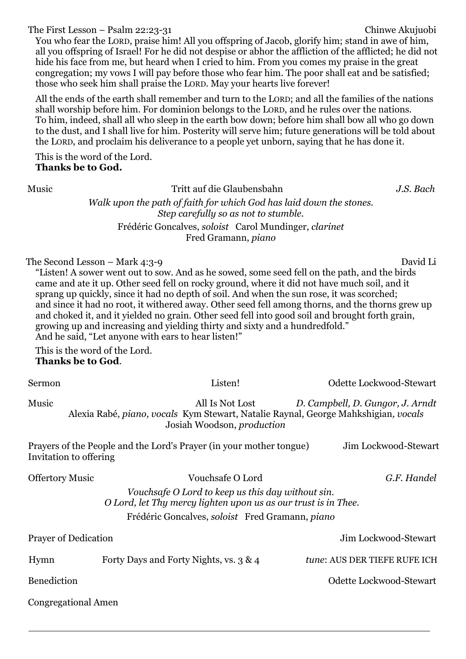The First Lesson – Psalm 22:23-31 Chinwe Akujuobi You who fear the LORD, praise him! All you offspring of Jacob, glorify him; stand in awe of him, all you offspring of Israel! For he did not despise or abhor the affliction of the afflicted; he did not hide his face from me, but heard when I cried to him. From you comes my praise in the great congregation; my vows I will pay before those who fear him. The poor shall eat and be satisfied; those who seek him shall praise the LORD. May your hearts live forever!

All the ends of the earth shall remember and turn to the LORD; and all the families of the nations shall worship before him. For dominion belongs to the LORD, and he rules over the nations. To him, indeed, shall all who sleep in the earth bow down; before him shall bow all who go down to the dust, and I shall live for him. Posterity will serve him; future generations will be told about the LORD, and proclaim his deliverance to a people yet unborn, saying that he has done it.

This is the word of the Lord. **Thanks be to God.**

Music Tritt auf die Glaubensbahn *J.S. Bach Walk upon the path of faith for which God has laid down the stones. Step carefully so as not to stumble.* Frédéric Goncalves, *soloist* Carol Mundinger, *clarinet* Fred Gramann, *piano*

The Second Lesson – Mark 4:3-9 David Li

"Listen! A sower went out to sow. And as he sowed, some seed fell on the path, and the birds came and ate it up. Other seed fell on rocky ground, where it did not have much soil, and it sprang up quickly, since it had no depth of soil. And when the sun rose, it was scorched; and since it had no root, it withered away. Other seed fell among thorns, and the thorns grew up and choked it, and it yielded no grain. Other seed fell into good soil and brought forth grain, growing up and increasing and yielding thirty and sixty and a hundredfold." And he said, "Let anyone with ears to hear listen!"

This is the word of the Lord. **Thanks be to God**.

| Sermon                                                                                                                | Listen!                                                                                                                                    | Odette Lockwood-Stewart          |  |  |
|-----------------------------------------------------------------------------------------------------------------------|--------------------------------------------------------------------------------------------------------------------------------------------|----------------------------------|--|--|
| Music                                                                                                                 | All Is Not Lost<br>Alexia Rabé, piano, vocals Kym Stewart, Natalie Raynal, George Mahkshigian, vocals<br>Josiah Woodson, <i>production</i> | D. Campbell, D. Gungor, J. Arndt |  |  |
| Prayers of the People and the Lord's Prayer (in your mother tongue)<br>Jim Lockwood-Stewart<br>Invitation to offering |                                                                                                                                            |                                  |  |  |
| <b>Offertory Music</b>                                                                                                | Vouchsafe O Lord                                                                                                                           | G.F. Handel                      |  |  |
| Vouchsafe O Lord to keep us this day without sin.<br>O Lord, let Thy mercy lighten upon us as our trust is in Thee.   |                                                                                                                                            |                                  |  |  |
| Frédéric Goncalves, soloist Fred Gramann, piano                                                                       |                                                                                                                                            |                                  |  |  |
| <b>Prayer of Dedication</b>                                                                                           |                                                                                                                                            | Jim Lockwood-Stewart             |  |  |
| Hymn                                                                                                                  | Forty Days and Forty Nights, vs. 3 & 4                                                                                                     | tune: AUS DER TIEFE RUFE ICH     |  |  |
| <b>Benediction</b>                                                                                                    |                                                                                                                                            | Odette Lockwood-Stewart          |  |  |
|                                                                                                                       |                                                                                                                                            |                                  |  |  |

Congregational Amen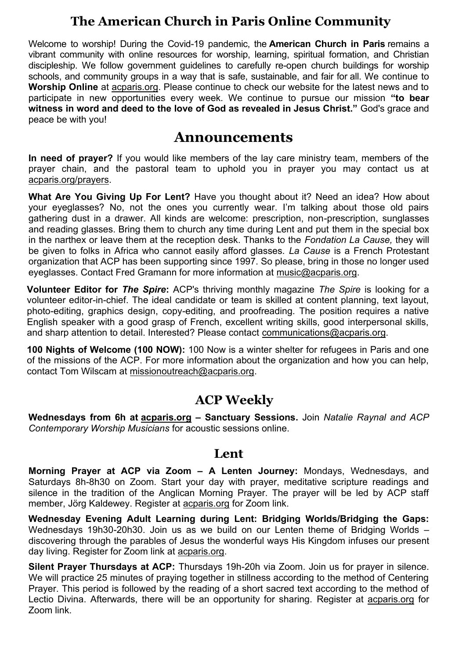### **The American Church in Paris Online Community**

Welcome to worship! During the Covid-19 pandemic, the **American Church in Paris** remains a vibrant community with online resources for worship, learning, spiritual formation, and Christian discipleship. We follow government guidelines to carefully re-open church buildings for worship schools, and community groups in a way that is safe, sustainable, and fair for all. We continue to **Worship Online** at acparis.org. Please continue to check our website for the latest news and to participate in new opportunities every week. We continue to pursue our mission **"to bear witness in word and deed to the love of God as revealed in Jesus Christ."** God's grace and peace be with you!

### **Announcements**

**In need of prayer?** If you would like members of the lay care ministry team, members of the prayer chain, and the pastoral team to uphold you in prayer you may contact us at acparis.org/prayers.

**What Are You Giving Up For Lent?** Have you thought about it? Need an idea? How about your eyeglasses? No, not the ones you currently wear. I'm talking about those old pairs gathering dust in a drawer. All kinds are welcome: prescription, non-prescription, sunglasses and reading glasses. Bring them to church any time during Lent and put them in the special box in the narthex or leave them at the reception desk. Thanks to the *Fondation La Cause,* they will be given to folks in Africa who cannot easily afford glasses. *La Cause* is a French Protestant organization that ACP has been supporting since 1997. So please, bring in those no longer used eyeglasses. Contact Fred Gramann for more information at [music@acparis.org.](mailto:music@acparis.org)

**Volunteer Editor for** *The Spire***:** ACP's thriving monthly magazine *The Spire* is looking for a volunteer editor-in-chief. The ideal candidate or team is skilled at content planning, text layout, photo-editing, graphics design, copy-editing, and proofreading. The position requires a native English speaker with a good grasp of French, excellent writing skills, good interpersonal skills, and sharp attention to detail. Interested? Please contact [communications@acparis.org.](mailto:communications@acparis.org)

**100 Nights of Welcome (100 NOW):** 100 Now is a winter shelter for refugees in Paris and one of the missions of the ACP. For more information about the organization and how you can help, contact Tom Wilscam at missionoutreach@acparis.org.

### **ACP Weekly**

**Wednesdays from 6h at [acparis.org](http://acparis.org/) – Sanctuary Sessions.** Join *Natalie Raynal and ACP Contemporary Worship Musicians* for acoustic sessions online.

#### **Lent**

**Morning Prayer at ACP via Zoom – A Lenten Journey:** Mondays, Wednesdays, and Saturdays 8h-8h30 on Zoom. Start your day with prayer, meditative scripture readings and silence in the tradition of the Anglican Morning Prayer. The prayer will be led by ACP staff member, Jörg Kaldewey. Register at acparis.org for Zoom link.

**Wednesday Evening Adult Learning during Lent: Bridging Worlds/Bridging the Gaps:**  Wednesdays 19h30-20h30. Join us as we build on our Lenten theme of Bridging Worlds – discovering through the parables of Jesus the wonderful ways His Kingdom infuses our present day living. Register for Zoom link at acparis.org.

**Silent Prayer Thursdays at ACP:** Thursdays 19h-20h via Zoom. Join us for prayer in silence. We will practice 25 minutes of praying together in stillness according to the method of Centering Prayer. This period is followed by the reading of a short sacred text according to the method of Lectio Divina. Afterwards, there will be an opportunity for sharing. Register at acparis.org for Zoom link.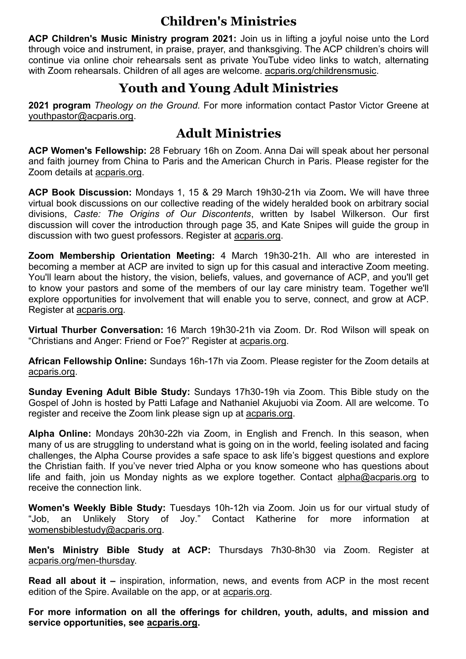### **Children's Ministries**

**ACP Children's Music Ministry program 2021:** Join us in lifting a joyful noise unto the Lord through voice and instrument, in praise, prayer, and thanksgiving. The ACP children's choirs will continue via online choir rehearsals sent as private YouTube video links to watch, alternating with Zoom rehearsals. Children of all ages are welcome. acparis.org/childrensmusic.

### **Youth and Young Adult Ministries**

**2021 program** *Theology on the Ground.* For more information contact Pastor Victor Greene at [youthpastor@acparis.org.](mailto:youthpastor@acparis.org)

### **Adult Ministries**

**ACP Women's Fellowship:** 28 February 16h on Zoom. Anna Dai will speak about her personal and faith journey from China to Paris and the American Church in Paris. Please register for the Zoom details at acparis.org.

**ACP Book Discussion:** Mondays 1, 15 & 29 March 19h30-21h via Zoom**.** We will have three virtual book discussions on our collective reading of the widely heralded book on arbitrary social divisions, *Caste: The Origins of Our Discontents*, written by Isabel Wilkerson. Our first discussion will cover the introduction through page 35, and Kate Snipes will guide the group in discussion with two guest professors. Register at acparis.org.

**Zoom Membership Orientation Meeting:** 4 March 19h30-21h. All who are interested in becoming a member at ACP are invited to sign up for this casual and interactive Zoom meeting. You'll learn about the history, the vision, beliefs, values, and governance of ACP, and you'll get to know your pastors and some of the members of our lay care ministry team. Together we'll explore opportunities for involvement that will enable you to serve, connect, and grow at ACP. Register at acparis.org.

**Virtual Thurber Conversation:** 16 March 19h30-21h via Zoom. Dr. Rod Wilson will speak on "Christians and Anger: Friend or Foe?" Register at [acparis.org.](http://acparis.org/)

**African Fellowship Online:** Sundays 16h-17h via Zoom. Please register for the Zoom details at acparis.org.

**Sunday Evening Adult Bible Study:** Sundays 17h30-19h via Zoom. This Bible study on the Gospel of John is hosted by Patti Lafage and Nathaniel Akujuobi via Zoom. All are welcome. To register and receive the Zoom link please sign up at acparis.org.

**Alpha Online:** Mondays 20h30-22h via Zoom, in English and French. In this season, when many of us are struggling to understand what is going on in the world, feeling isolated and facing challenges, the Alpha Course provides a safe space to ask life's biggest questions and explore the Christian faith. If you've never tried Alpha or you know someone who has questions about life and faith, join us Monday nights as we explore together. Contact alpha@acparis.org to receive the connection link.

**Women's Weekly Bible Study:** Tuesdays 10h-12h via Zoom. Join us for our virtual study of "Job, an Unlikely Story of Joy." Contact Katherine for more information at [womensbiblestudy@acparis.org.](mailto:womensbiblestudy@acparis.org)

**Men's Ministry Bible Study at ACP:** Thursdays 7h30-8h30 via Zoom. Register at acparis.org/men-thursday.

**Read all about it –** inspiration, information, news, and events from ACP in the most recent edition of the Spire. Available on the app, or at acparis.org.

**For more information on all the offerings for children, youth, adults, and mission and service opportunities, see acparis.org.**